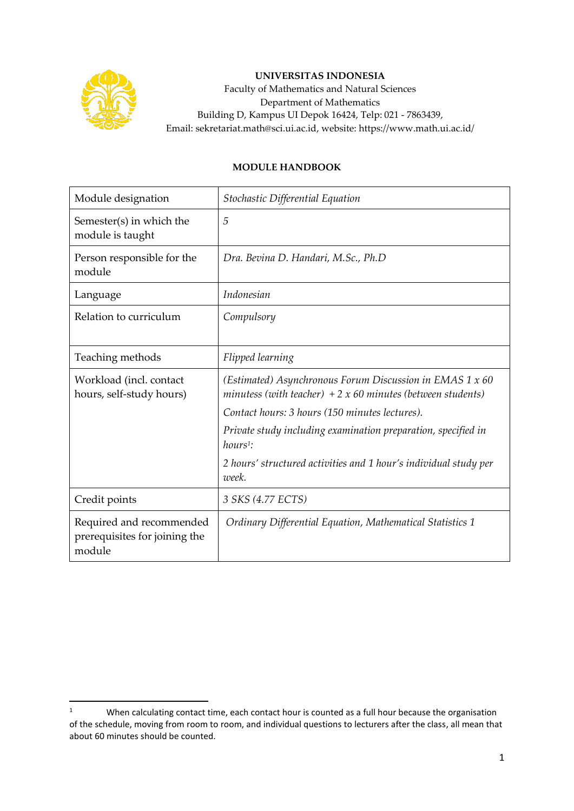

## **UNIVERSITAS INDONESIA**

Faculty of Mathematics and Natural Sciences Department of Mathematics Building D, Kampus UI Depok 16424, Telp: 021 - 7863439, Email: sekretariat.math@sci.ui.ac.id, website: https://www.math.ui.ac.id/

## **MODULE HANDBOOK**

| Module designation                                                  | Stochastic Differential Equation                                                                                       |
|---------------------------------------------------------------------|------------------------------------------------------------------------------------------------------------------------|
| Semester(s) in which the<br>module is taught                        | 5                                                                                                                      |
| Person responsible for the<br>module                                | Dra. Bevina D. Handari, M.Sc., Ph.D                                                                                    |
| Language                                                            | Indonesian                                                                                                             |
| Relation to curriculum                                              | Compulsory                                                                                                             |
| Teaching methods                                                    | Flipped learning                                                                                                       |
| Workload (incl. contact<br>hours, self-study hours)                 | (Estimated) Asynchronous Forum Discussion in EMAS 1 x 60<br>minutess (with teacher) $+2x60$ minutes (between students) |
|                                                                     | Contact hours: 3 hours (150 minutes lectures).                                                                         |
|                                                                     | Private study including examination preparation, specified in<br>$hours1$ :                                            |
|                                                                     | 2 hours' structured activities and 1 hour's individual study per<br>week.                                              |
| Credit points                                                       | 3 SKS (4.77 ECTS)                                                                                                      |
| Required and recommended<br>prerequisites for joining the<br>module | Ordinary Differential Equation, Mathematical Statistics 1                                                              |

<sup>1</sup> When calculating contact time, each contact hour is counted as a full hour because the organisation of the schedule, moving from room to room, and individual questions to lecturers after the class, all mean that about 60 minutes should be counted.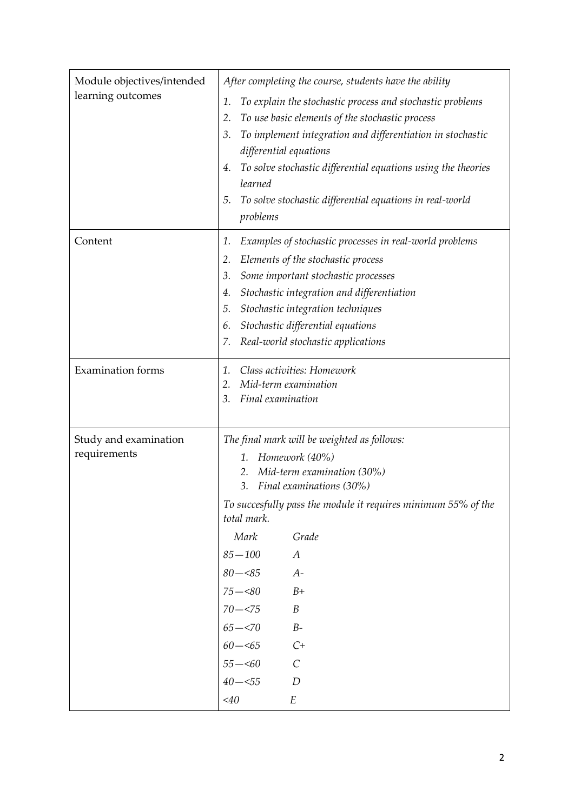| Module objectives/intended<br>learning outcomes | After completing the course, students have the ability<br>To explain the stochastic process and stochastic problems<br>1.<br>To use basic elements of the stochastic process<br>2.<br>To implement integration and differentiation in stochastic<br>3.<br>differential equations<br>To solve stochastic differential equations using the theories<br>4.<br>learned<br>To solve stochastic differential equations in real-world<br>5.<br>problems                         |
|-------------------------------------------------|--------------------------------------------------------------------------------------------------------------------------------------------------------------------------------------------------------------------------------------------------------------------------------------------------------------------------------------------------------------------------------------------------------------------------------------------------------------------------|
| Content                                         | Examples of stochastic processes in real-world problems<br>1.<br>Elements of the stochastic process<br>2.<br>Some important stochastic processes<br>3.<br>Stochastic integration and differentiation<br>4.<br>Stochastic integration techniques<br>5.<br>Stochastic differential equations<br>6.<br>Real-world stochastic applications<br>7.                                                                                                                             |
| <b>Examination</b> forms                        | Class activities: Homework<br>1.<br>Mid-term examination<br>2.<br>Final examination<br>3.                                                                                                                                                                                                                                                                                                                                                                                |
| Study and examination<br>requirements           | The final mark will be weighted as follows:<br>Homework (40%)<br>1.<br>Mid-term examination (30%)<br>2.<br>Final examinations (30%)<br>3.<br>To succesfully pass the module it requires minimum 55% of the<br>total mark.<br>Mark<br>Grade<br>$85 - 100$<br>$\boldsymbol{A}$<br>$80 - 85$<br>$A-$<br>$B+$<br>$75 - 80$<br>$70 - 575$<br>$\boldsymbol{B}$<br>$B\hbox{-}$<br>$65 - 570$<br>$C+$<br>$60 - 5$<br>$\mathcal{C}$<br>$55 - 60$<br>$40 - 55$<br>D<br>$<$ 40<br>E |